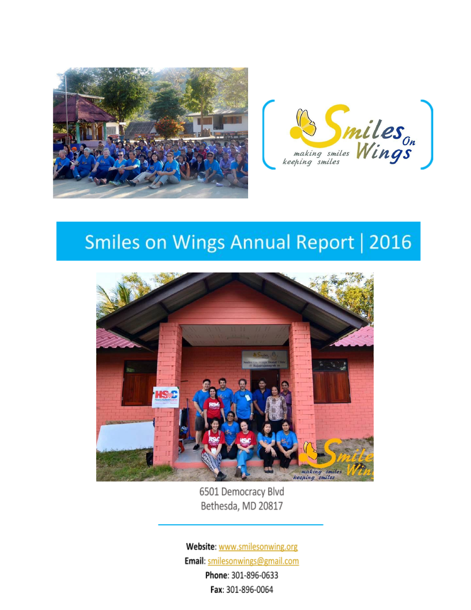



# Smiles on Wings Annual Report | 2016



6501 Democracy Blvd Bethesda, MD 20817

Website: www.smilesonwing.org Email: smilesonwings@gmail.com Phone: 301-896-0633 Fax: 301-896-0064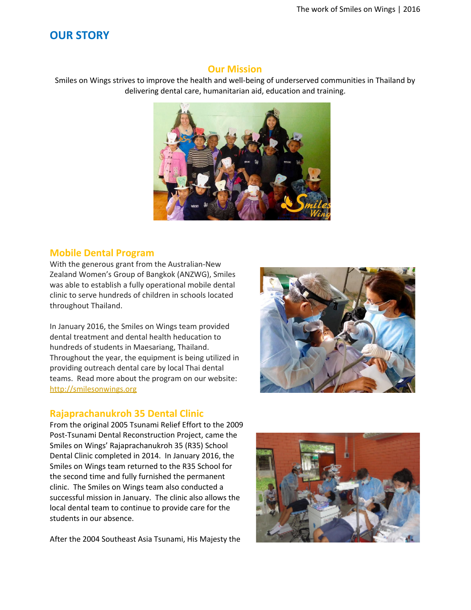# **OUR STORY**

## **Our Mission**

Smiles on Wings strives to improve the health and well-being of underserved communities in Thailand by delivering dental care, humanitarian aid, education and training.



### **Mobile Dental Program**

With the generous grant from the Australian-New Zealand Women's Group of Bangkok (ANZWG), Smiles was able to establish a fully operational mobile dental clinic to serve hundreds of children in schools located throughout Thailand.

In January 2016, the Smiles on Wings team provided dental treatment and dental health heducation to hundreds of students in Maesariang, Thailand. Throughout the year, the equipment is being utilized in providing outreach dental care by local Thai dental teams. Read more about the program on our website: [http://smilesonwings.org](http://smilesonwings.org/)



## **Rajaprachanukroh 35 Dental Clinic**

From the original 2005 Tsunami Relief Effort to the 2009 Post-Tsunami Dental Reconstruction Project, came the Smiles on Wings' Rajaprachanukroh 35 (R35) School Dental Clinic completed in 2014. In January 2016, the Smiles on Wings team returned to the R35 School for the second time and fully furnished the permanent clinic. The Smiles on Wings team also conducted a successful mission in January. The clinic also allows the local dental team to continue to provide care for the students in our absence.

After the 2004 Southeast Asia Tsunami, His Majesty the

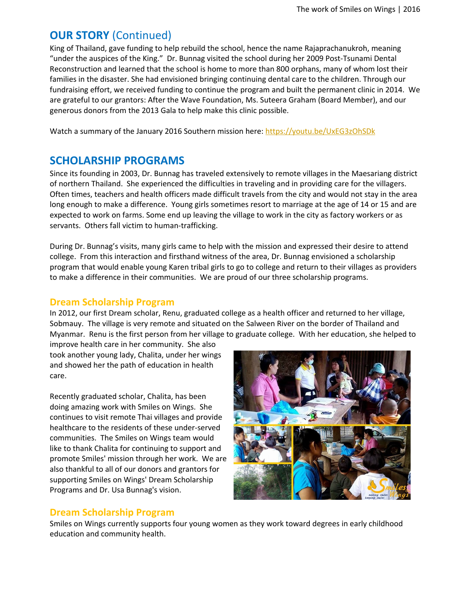## **OUR STORY** (Continued)

King of Thailand, gave funding to help rebuild the school, hence the name Rajaprachanukroh, meaning "under the auspices of the King." Dr. Bunnag visited the school during her 2009 Post-Tsunami Dental Reconstruction and learned that the school is home to more than 800 orphans, many of whom lost their families in the disaster. She had envisioned bringing continuing dental care to the children. Through our fundraising effort, we received funding to continue the program and built the permanent clinic in 2014. We are grateful to our grantors: After the Wave Foundation, Ms. Suteera Graham (Board Member), and our generous donors from the 2013 Gala to help make this clinic possible.

Watch a summary of the January 2016 Southern mission here: <https://youtu.be/UxEG3zOhSDk>

## **SCHOLARSHIP PROGRAMS**

Since its founding in 2003, Dr. Bunnag has traveled extensively to remote villages in the Maesariang district of northern Thailand. She experienced the difficulties in traveling and in providing care for the villagers. Often times, teachers and health officers made difficult travels from the city and would not stay in the area long enough to make a difference. Young girls sometimes resort to marriage at the age of 14 or 15 and are expected to work on farms. Some end up leaving the village to work in the city as factory workers or as servants. Others fall victim to human-trafficking.

During Dr. Bunnag's visits, many girls came to help with the mission and expressed their desire to attend college. From this interaction and firsthand witness of the area, Dr. Bunnag envisioned a scholarship program that would enable young Karen tribal girls to go to college and return to their villages as providers to make a difference in their communities. We are proud of our three scholarship programs.

### **Dream Scholarship Program**

In 2012, our first Dream scholar, Renu, graduated college as a health officer and returned to her village, Sobmauy. The village is very remote and situated on the Salween River on the border of Thailand and Myanmar. Renu is the first person from her village to graduate college. With her education, she helped to

improve health care in her community. She also took another young lady, Chalita, under her wings and showed her the path of education in health care.

Recently graduated scholar, Chalita, has been doing amazing work with Smiles on Wings. She continues to visit remote Thai villages and provide healthcare to the residents of these under-served communities. The Smiles on Wings team would like to thank Chalita for continuing to support and promote Smiles' mission through her work. We are also thankful to all of our donors and grantors for supporting Smiles on Wings' Dream Scholarship Programs and Dr. Usa Bunnag's vision.



## **Dream Scholarship Program**

Smiles on Wings currently supports four young women as they work toward degrees in early childhood education and community health.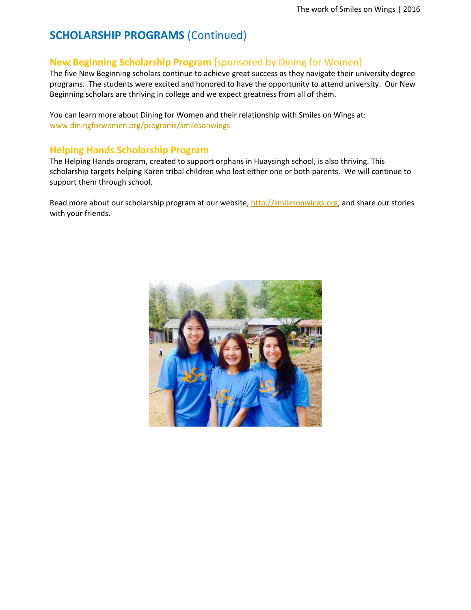# **SCHOLARSHIP PROGRAMS** (Continued)

## **New Beginning Scholarship Program** [sponsored by Dining for Women]

The five New Beginning scholars continue to achieve great success as they navigate their university degree programs. The students were excited and honored to have the opportunity to attend university. Our New Beginning scholars are thriving in college and we expect greatness from all of them.

You can learn more about Dining for Women and their relationship with Smiles on Wings at: [www.diningforwomen.org/programs/smilesonwings](http://www.diningforwomen.org/programs/smilesonwings)

## **Helping Hands Scholarship Program**

The Helping Hands program, created to support orphans in Huaysingh school, is also thriving. This scholarship targets helping Karen tribal children who lost either one or both parents. We will continue to support them through school.

Read more about our scholarship program at our website, [http://smilesonwings.org,](http://smilesonwings.org/) and share our stories with your friends.

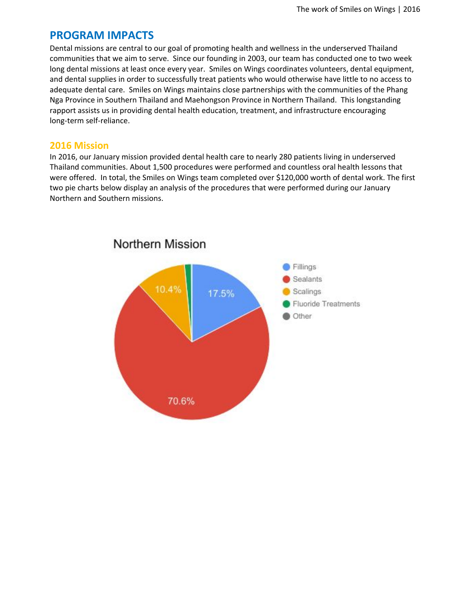## **PROGRAM IMPACTS**

Dental missions are central to our goal of promoting health and wellness in the underserved Thailand communities that we aim to serve. Since our founding in 2003, our team has conducted one to two week long dental missions at least once every year. Smiles on Wings coordinates volunteers, dental equipment, and dental supplies in order to successfully treat patients who would otherwise have little to no access to adequate dental care. Smiles on Wings maintains close partnerships with the communities of the Phang Nga Province in Southern Thailand and Maehongson Province in Northern Thailand. This longstanding rapport assists us in providing dental health education, treatment, and infrastructure encouraging long-term self-reliance.

#### **2016 Mission**

In 2016, our January mission provided dental health care to nearly 280 patients living in underserved Thailand communities. About 1,500 procedures were performed and countless oral health lessons that were offered. In total, the Smiles on Wings team completed over \$120,000 worth of dental work. The first two pie charts below display an analysis of the procedures that were performed during our January Northern and Southern missions.

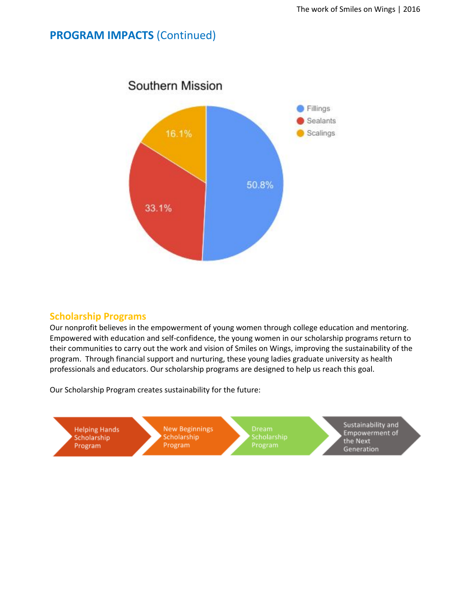## **PROGRAM IMPACTS** (Continued)



## **Scholarship Programs**

Our nonprofit believes in the empowerment of young women through college education and mentoring. Empowered with education and self-confidence, the young women in our scholarship programs return to their communities to carry out the work and vision of Smiles on Wings, improving the sustainability of the program. Through financial support and nurturing, these young ladies graduate university as health professionals and educators. Our scholarship programs are designed to help us reach this goal.

Our Scholarship Program creates sustainability for the future:

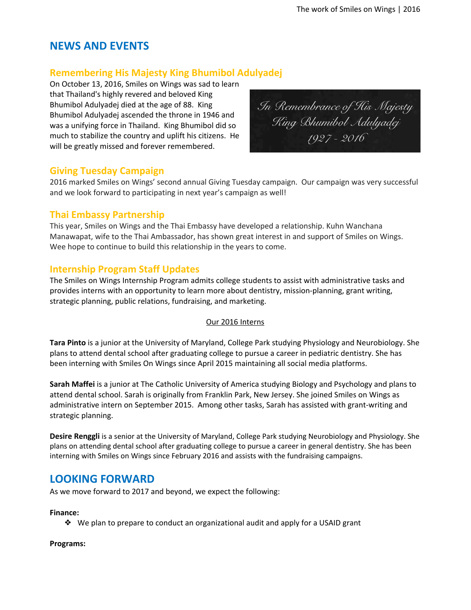## **NEWS AND EVENTS**

## **Remembering His Majesty King Bhumibol Adulyadej**

On October 13, 2016, Smiles on Wings was sad to learn that Thailand's highly revered and beloved King Bhumibol Adulyadej died at the age of 88. King Bhumibol Adulyadej ascended the throne in 1946 and was a unifying force in Thailand. King Bhumibol did so much to stabilize the country and uplift his citizens. He will be greatly missed and forever remembered.

In Remembrance of His Majesty King Bhumibol Adulyadej  $1927 - 2016$ 

### **Giving Tuesday Campaign**

2016 marked Smiles on Wings' second annual Giving Tuesday campaign. Our campaign was very successful and we look forward to participating in next year's campaign as well!

#### **Thai Embassy Partnership**

This year, Smiles on Wings and the Thai Embassy have developed a relationship. Kuhn Wanchana Manawapat, wife to the Thai Ambassador, has shown great interest in and support of Smiles on Wings. Wee hope to continue to build this relationship in the years to come.

#### **Internship Program Staff Updates**

The Smiles on Wings Internship Program admits college students to assist with administrative tasks and provides interns with an opportunity to learn more about dentistry, mission-planning, grant writing, strategic planning, public relations, fundraising, and marketing.

#### Our 2016 Interns

**Tara Pinto** is a junior at the University of Maryland, College Park studying Physiology and Neurobiology. She plans to attend dental school after graduating college to pursue a career in pediatric dentistry. She has been interning with Smiles On Wings since April 2015 maintaining all social media platforms.

**Sarah Maffei** is a junior at The Catholic University of America studying Biology and Psychology and plans to attend dental school. Sarah is originally from Franklin Park, New Jersey. She joined Smiles on Wings as administrative intern on September 2015. Among other tasks, Sarah has assisted with grant-writing and strategic planning.

**Desire Renggli** is a senior at the University of Maryland, College Park studying Neurobiology and Physiology. She plans on attending dental school after graduating college to pursue a career in general dentistry. She has been interning with Smiles on Wings since February 2016 and assists with the fundraising campaigns.

## **LOOKING FORWARD**

As we move forward to 2017 and beyond, we expect the following:

**Finance:**

❖ We plan to prepare to conduct an organizational audit and apply for a USAID grant

**Programs:**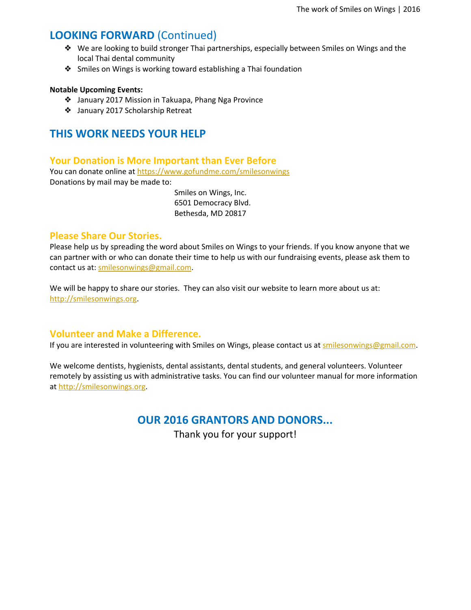## **LOOKING FORWARD** (Continued)

- ❖ We are looking to build stronger Thai partnerships, especially between Smiles on Wings and the local Thai dental community
- ❖ Smiles on Wings is working toward establishing a Thai foundation

#### **Notable Upcoming Events:**

- ❖ January 2017 Mission in Takuapa, Phang Nga Province
- ❖ January 2017 Scholarship Retreat

# **THIS WORK NEEDS YOUR HELP**

## **Your Donation is More Important than Ever Before**

You can donate online at <https://www.gofundme.com/smilesonwings> Donations by mail may be made to:

> Smiles on Wings, Inc. 6501 Democracy Blvd. Bethesda, MD 20817

## **Please Share Our Stories.**

Please help us by spreading the word about Smiles on Wings to your friends. If you know anyone that we can partner with or who can donate their time to help us with our fundraising events, please ask them to contact us at: [smilesonwings@gmail.com.](mailto:smilesonwings@gmail.com)

We will be happy to share our stories. They can also visit our website to learn more about us at: [http://smilesonwings.org.](http://smilesonwings.org/)

## **Volunteer and Make a Difference.**

If you are interested in volunteering with Smiles on Wings, please contact us at [smilesonwings@gmail.com.](mailto:smilesonwings@gmail.com)

We welcome dentists, hygienists, dental assistants, dental students, and general volunteers. Volunteer remotely by assisting us with administrative tasks. You can find our volunteer manual for more information at [http://smilesonwings.org.](http://smilesonwings.org/)

## **OUR 2016 GRANTORS AND DONORS...**

Thank you for your support!